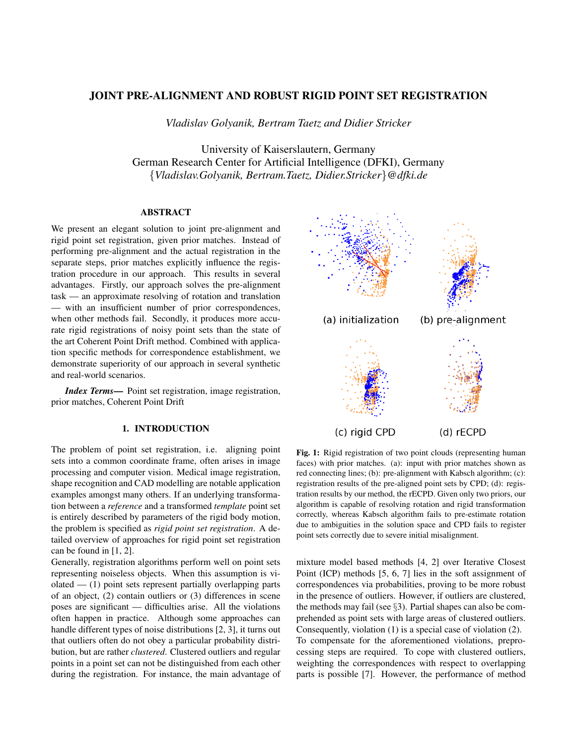# JOINT PRE-ALIGNMENT AND ROBUST RIGID POINT SET REGISTRATION

*Vladislav Golyanik, Bertram Taetz and Didier Stricker*

University of Kaiserslautern, Germany German Research Center for Artificial Intelligence (DFKI), Germany {*Vladislav.Golyanik, Bertram.Taetz, Didier.Stricker*}*@dfki.de*

## ABSTRACT

We present an elegant solution to joint pre-alignment and rigid point set registration, given prior matches. Instead of performing pre-alignment and the actual registration in the separate steps, prior matches explicitly influence the registration procedure in our approach. This results in several advantages. Firstly, our approach solves the pre-alignment task — an approximate resolving of rotation and translation — with an insufficient number of prior correspondences, when other methods fail. Secondly, it produces more accurate rigid registrations of noisy point sets than the state of the art Coherent Point Drift method. Combined with application specific methods for correspondence establishment, we demonstrate superiority of our approach in several synthetic and real-world scenarios.

*Index Terms*— Point set registration, image registration, prior matches, Coherent Point Drift

## 1. INTRODUCTION

The problem of point set registration, i.e. aligning point sets into a common coordinate frame, often arises in image processing and computer vision. Medical image registration, shape recognition and CAD modelling are notable application examples amongst many others. If an underlying transformation between a *reference* and a transformed *template* point set is entirely described by parameters of the rigid body motion, the problem is specified as *rigid point set registration*. A detailed overview of approaches for rigid point set registration can be found in [1, 2].

Generally, registration algorithms perform well on point sets representing noiseless objects. When this assumption is vi $olated$  — (1) point sets represent partially overlapping parts of an object, (2) contain outliers or (3) differences in scene poses are significant — difficulties arise. All the violations often happen in practice. Although some approaches can handle different types of noise distributions [2, 3], it turns out that outliers often do not obey a particular probability distribution, but are rather *clustered*. Clustered outliers and regular points in a point set can not be distinguished from each other during the registration. For instance, the main advantage of



Fig. 1: Rigid registration of two point clouds (representing human faces) with prior matches. (a): input with prior matches shown as red connecting lines; (b): pre-alignment with Kabsch algorithm; (c): registration results of the pre-aligned point sets by CPD; (d): registration results by our method, the rECPD. Given only two priors, our algorithm is capable of resolving rotation and rigid transformation correctly, whereas Kabsch algorithm fails to pre-estimate rotation due to ambiguities in the solution space and CPD fails to register point sets correctly due to severe initial misalignment.

mixture model based methods [4, 2] over Iterative Closest Point (ICP) methods [5, 6, 7] lies in the soft assignment of correspondences via probabilities, proving to be more robust in the presence of outliers. However, if outliers are clustered, the methods may fail (see §3). Partial shapes can also be comprehended as point sets with large areas of clustered outliers. Consequently, violation (1) is a special case of violation (2). To compensate for the aforementioned violations, preprocessing steps are required. To cope with clustered outliers, weighting the correspondences with respect to overlapping parts is possible [7]. However, the performance of method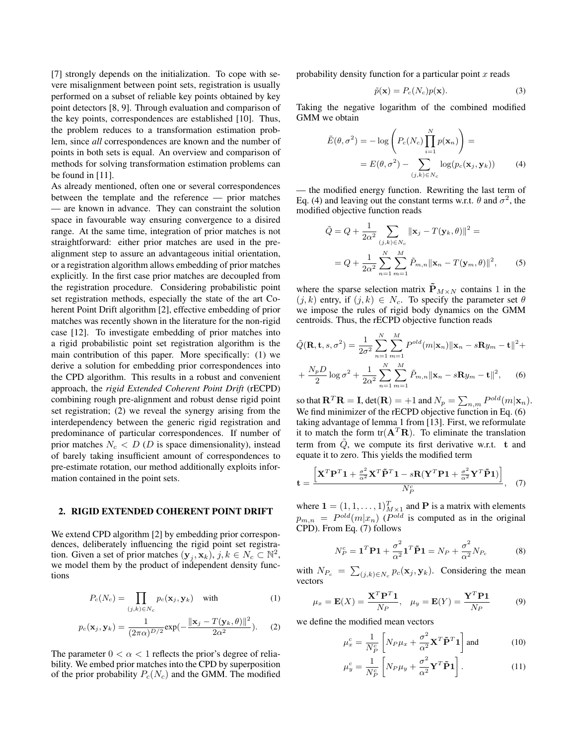[7] strongly depends on the initialization. To cope with severe misalignment between point sets, registration is usually performed on a subset of reliable key points obtained by key point detectors [8, 9]. Through evaluation and comparison of the key points, correspondences are established [10]. Thus, the problem reduces to a transformation estimation problem, since *all* correspondences are known and the number of points in both sets is equal. An overview and comparison of methods for solving transformation estimation problems can be found in [11].

As already mentioned, often one or several correspondences between the template and the reference — prior matches — are known in advance. They can constraint the solution space in favourable way ensuring convergence to a disired range. At the same time, integration of prior matches is not straightforward: either prior matches are used in the prealignment step to assure an advantageous initial orientation, or a registration algorithm allows embedding of prior matches explicitly. In the first case prior matches are decoupled from the registration procedure. Considering probabilistic point set registration methods, especially the state of the art Coherent Point Drift algorithm [2], effective embedding of prior matches was recently shown in the literature for the non-rigid case [12]. To investigate embedding of prior matches into a rigid probabilistic point set registration algorithm is the main contribution of this paper. More specifically: (1) we derive a solution for embedding prior correspondences into the CPD algorithm. This results in a robust and convenient approach, the *rigid Extended Coherent Point Drift* (rECPD) combining rough pre-alignment and robust dense rigid point set registration; (2) we reveal the synergy arising from the interdependency between the generic rigid registration and predominance of particular correspondences. If number of prior matches  $N_c < D$  (D is space dimensionality), instead of barely taking insufficient amount of correspondences to pre-estimate rotation, our method additionally exploits information contained in the point sets.

### 2. RIGID EXTENDED COHERENT POINT DRIFT

We extend CPD algorithm [2] by embedding prior correspondences, deliberately influencing the rigid point set registration. Given a set of prior matches  $(\mathbf{y}_j, \mathbf{x}_k)$ ,  $j, k \in N_c \subset \mathbb{N}^2$ , we model them by the product of independent density functions

$$
P_c(N_c) = \prod_{(j,k)\in N_c} p_c(\mathbf{x}_j, \mathbf{y}_k) \quad \text{with} \tag{1}
$$

$$
p_c(\mathbf{x}_j, \mathbf{y}_k) = \frac{1}{(2\pi\alpha)^{D/2}} \exp(-\frac{\|\mathbf{x}_j - T(\mathbf{y}_k, \theta)\|^2}{2\alpha^2}).
$$
 (2)

The parameter  $0 < \alpha < 1$  reflects the prior's degree of reliability. We embed prior matches into the CPD by superposition of the prior probability  $P_c(N_c)$  and the GMM. The modified probability density function for a particular point  $x$  reads

$$
\tilde{p}(\mathbf{x}) = P_c(N_c)p(\mathbf{x}).\tag{3}
$$

Taking the negative logarithm of the combined modified GMM we obtain

$$
\tilde{E}(\theta, \sigma^2) = -\log \left( P_c(N_c) \prod_{i=1}^N p(\mathbf{x}_n) \right) =
$$
\n
$$
= E(\theta, \sigma^2) - \sum_{(j,k) \in N_c} \log (p_c(\mathbf{x}_j, \mathbf{y}_k)) \tag{4}
$$

— the modified energy function. Rewriting the last term of Eq. (4) and leaving out the constant terms w.r.t.  $\theta$  and  $\sigma^2$ , the modified objective function reads

$$
\tilde{Q} = Q + \frac{1}{2\alpha^2} \sum_{(j,k)\in N_c} ||\mathbf{x}_j - T(\mathbf{y}_k, \theta)||^2 =
$$
  
=  $Q + \frac{1}{2\alpha^2} \sum_{n=1}^N \sum_{m=1}^M \tilde{P}_{m,n} ||\mathbf{x}_n - T(\mathbf{y}_m, \theta)||^2,$  (5)

where the sparse selection matrix  $\tilde{\mathbf{P}}_{M\times N}$  contains 1 in the  $(j, k)$  entry, if  $(j, k) \in N_c$ . To specify the parameter set  $\theta$ we impose the rules of rigid body dynamics on the GMM centroids. Thus, the rECPD objective function reads

$$
\tilde{Q}(\mathbf{R}, \mathbf{t}, s, \sigma^2) = \frac{1}{2\sigma^2} \sum_{n=1}^{N} \sum_{m=1}^{M} P^{old}(m|\mathbf{x}_n) || \mathbf{x}_n - s\mathbf{R}y_m - \mathbf{t} ||^2 +
$$

$$
+ \frac{N_p D}{2} \log \sigma^2 + \frac{1}{2\alpha^2} \sum_{n=1}^{N} \sum_{m=1}^{M} \tilde{P}_{m,n} || \mathbf{x}_n - s\mathbf{R}y_m - \mathbf{t} ||^2, \qquad (6)
$$

so that  $\mathbf{R}^T\mathbf{R} = \mathbf{I}$ , det $(\mathbf{R}) = +1$  and  $N_p = \sum_{n,m} P^{old}(m|\mathbf{x}_n)$ . We find minimizer of the rECPD objective function in Eq. (6) taking advantage of lemma 1 from [13]. First, we reformulate it to match the form  $tr(A^T R)$ . To eliminate the translation term from  $\tilde{Q}$ , we compute its first derivative w.r.t. t and equate it to zero. This yields the modified term

$$
\mathbf{t} = \frac{\left[\mathbf{X}^T \mathbf{P}^T \mathbf{1} + \frac{\sigma^2}{\alpha^2} \mathbf{X}^T \tilde{\mathbf{P}}^T \mathbf{1} - s\mathbf{R} (\mathbf{Y}^T \mathbf{P} \mathbf{1} + \frac{\sigma^2}{\alpha^2} \mathbf{Y}^T \tilde{\mathbf{P}} \mathbf{1})\right]}{N_P^c}, \quad (7)
$$

where  $\mathbf{1} = (1, 1, \dots, 1)_{M \times 1}^T$  and **P** is a matrix with elements  $p_{m,n}$  =  $P^{old}(m|x_n)$  ( $P^{old}$  is computed as in the original CPD). From Eq. (7) follows

$$
N_P^c = \mathbf{1}^T \mathbf{P} \mathbf{1} + \frac{\sigma^2}{\alpha^2} \mathbf{1}^T \tilde{\mathbf{P}} \mathbf{1} = N_P + \frac{\sigma^2}{\alpha^2} N_{P_c}
$$
 (8)

with  $N_{P_c} = \sum_{(j,k) \in N_c} p_c(\mathbf{x}_j, \mathbf{y}_k)$ . Considering the mean vectors

$$
\mu_x = \mathbf{E}(X) = \frac{\mathbf{X}^T \mathbf{P}^T \mathbf{1}}{N_P}, \quad \mu_y = \mathbf{E}(Y) = \frac{\mathbf{Y}^T \mathbf{P} \mathbf{1}}{N_P}
$$
(9)

we define the modified mean vectors

$$
\mu_x^c = \frac{1}{N_P^c} \left[ N_P \mu_x + \frac{\sigma^2}{\alpha^2} \mathbf{X}^T \mathbf{\tilde{P}}^T \mathbf{1} \right] \text{and}
$$
 (10)

$$
\mu_y^c = \frac{1}{N_P^c} \left[ N_P \mu_y + \frac{\sigma^2}{\alpha^2} \mathbf{Y}^T \tilde{\mathbf{P}} \mathbf{1} \right]. \tag{11}
$$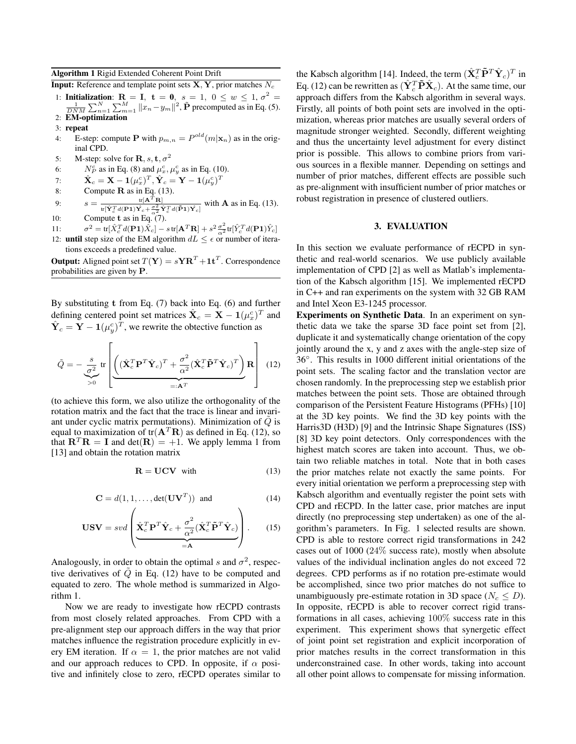**Input:** Reference and template point sets  $X, Y$ , prior matches  $N_c$ 

- 1: Initialization:  $\mathbf{R} = \mathbf{I}$ ,  $\mathbf{t} = \mathbf{0}$ ,  $s = 1$ ,  $0 \le w \le 1$ ,  $\sigma^2 =$  $\frac{1}{DNM}\sum_{n=1}^{N}\sum_{m=1}^{M}||x_n-y_m||^2$ ,  $\tilde{P}$  precomputed as in Eq. (5). 2: EM-optimization
- 3: repeat
- 4: E-step: compute **P** with  $p_{m,n} = P^{old}(m|\mathbf{x}_n)$  as in the original CPD.
- 5: M-step: solve for  $\mathbf{R}, s, \mathbf{t}, \sigma^2$
- 6:  $N_P^c$  as in Eq. (8) and  $\mu_x^c, \mu_y^c$  as in Eq. (10).
- 7:  $\hat{\textbf{X}}_c = \textbf{X} \textbf{1}(\mu^c_x)^T, \hat{\textbf{Y}}_c = \textbf{Y} \textbf{1}(\mu^c_y)^T$
- 8: Compute  $\bf{R}$  as in Eq. (13).
- 9:  $s = \frac{\text{tr}[\mathbf{A}^T \mathbf{R}]}{r^{2}r^{2}r^{2}r^{2}}$  $\frac{\pi[\mathbf{A} - \mathbf{R}]}{\pi[\hat{\mathbf{Y}}_c^T d(\mathbf{P}1)\hat{\mathbf{Y}}_c + \frac{\sigma^2}{\alpha^2} \hat{\mathbf{Y}}_c^T d(\tilde{\mathbf{P}}1)\hat{\mathbf{Y}}_c]}$  with **A** as in Eq. (13). 10: Compute  $t$  as in Eq. (7).
- $11:$  $\hat{\mathbf{Z}}^2 = \text{tr}[\hat{X}_c^T d(\mathbf{P1}) \hat{\hat{X}}_c] - s \, \text{tr}[\mathbf{A}^T \mathbf{R}] + s^2 \frac{\sigma^2}{\alpha^2} \text{tr}[\hat{Y}_c^T d(\mathbf{P1}) \hat{Y}_c]$
- 12: **until** step size of the EM algorithm  $dL \leq \epsilon$  or number of iterations exceeds a predefined value.

**Output:** Aligned point set  $T(\mathbf{Y}) = s\mathbf{Y}\mathbf{R}^T + \mathbf{1}\mathbf{t}^T$ . Correspondence probabilities are given by P.

By substituting t from Eq. (7) back into Eq. (6) and further defining centered point set matrices  $\hat{\mathbf{X}}_c = \mathbf{X} - \mathbf{1}(\mu_x^c)^T$  and  $\hat{\mathbf{Y}}_c = \mathbf{Y} - \mathbf{1}(\mu_y^c)^T$ , we rewrite the obtective function as

$$
\tilde{Q} = -\underbrace{\frac{s}{\sigma^2}}_{>0} \text{tr}\left[ \underbrace{\left( (\hat{\mathbf{X}}_c^T \mathbf{P}^T \hat{\mathbf{Y}}_c)^T + \frac{\sigma^2}{\alpha^2} (\hat{\mathbf{X}}_c^T \tilde{\mathbf{P}}^T \hat{\mathbf{Y}}_c)^T \right)}_{=: \mathbf{A}^T} \mathbf{R} \right]
$$
(12)

(to achieve this form, we also utilize the orthogonality of the rotation matrix and the fact that the trace is linear and invariant under cyclic matrix permutations). Minimization of  $Q$  is equal to maximization of  $tr(A^T R)$  as defined in Eq. (12), so that  $\mathbf{R}^T \mathbf{R} = \mathbf{I}$  and  $\det(\mathbf{R}) = +1$ . We apply lemma 1 from [13] and obtain the rotation matrix

$$
\mathbf{R} = \mathbf{U}\mathbf{C}\mathbf{V} \quad \text{with} \tag{13}
$$

$$
\mathbf{C} = d(1, 1, \dots, \det(\mathbf{U}\mathbf{V}^T)) \text{ and } (14)
$$

$$
\mathbf{USV} = svd\left(\underbrace{\hat{\mathbf{X}}_c^T \mathbf{P}^T \hat{\mathbf{Y}}_c + \frac{\sigma^2}{\alpha^2} (\hat{\mathbf{X}}_c^T \tilde{\mathbf{P}}^T \hat{\mathbf{Y}}_c)}_{=\mathbf{A}}\right). \tag{15}
$$

Analogously, in order to obtain the optimal s and  $\sigma^2$ , respective derivatives of  $\tilde{Q}$  in Eq. (12) have to be computed and equated to zero. The whole method is summarized in Algorithm 1.

Now we are ready to investigate how rECPD contrasts from most closely related approaches. From CPD with a pre-alignment step our approach differs in the way that prior matches influence the registration procedure explicitly in every EM iteration. If  $\alpha = 1$ , the prior matches are not valid and our approach reduces to CPD. In opposite, if  $\alpha$  positive and infinitely close to zero, rECPD operates similar to

the Kabsch algorithm [14]. Indeed, the term  $(\hat{\mathbf{X}}_c^T \tilde{\mathbf{P}}^T \hat{\mathbf{Y}}_c)^T$  in Eq. (12) can be rewritten as  $(\hat{\mathbf{Y}}_{c}^{T}\tilde{\mathbf{P}}\hat{\mathbf{X}}_{c})$ . At the same time, our approach differs from the Kabsch algorithm in several ways. Firstly, all points of both point sets are involved in the optimization, whereas prior matches are usually several orders of magnitude stronger weighted. Secondly, different weighting and thus the uncertainty level adjustment for every distinct prior is possible. This allows to combine priors from various sources in a flexible manner. Depending on settings and number of prior matches, different effects are possible such as pre-alignment with insufficient number of prior matches or robust registration in presence of clustered outliers.

#### 3. EVALUATION

In this section we evaluate performance of rECPD in synthetic and real-world scenarios. We use publicly available implementation of CPD [2] as well as Matlab's implementation of the Kabsch algorithm [15]. We implemented rECPD in C++ and ran experiments on the system with 32 GB RAM and Intel Xeon E3-1245 processor.

Experiments on Synthetic Data. In an experiment on synthetic data we take the sparse 3D face point set from [2], duplicate it and systematically change orientation of the copy jointly around the x, y and z axes with the angle-step size of 36◦ . This results in 1000 different initial orientations of the point sets. The scaling factor and the translation vector are chosen randomly. In the preprocessing step we establish prior matches between the point sets. Those are obtained through comparison of the Persistent Feature Histograms (PFHs) [10] at the 3D key points. We find the 3D key points with the Harris3D (H3D) [9] and the Intrinsic Shape Signatures (ISS) [8] 3D key point detectors. Only correspondences with the highest match scores are taken into account. Thus, we obtain two reliable matches in total. Note that in both cases the prior matches relate not exactly the same points. For every initial orientation we perform a preprocessing step with Kabsch algorithm and eventually register the point sets with CPD and rECPD. In the latter case, prior matches are input directly (no preprocessing step undertaken) as one of the algorithm's parameters. In Fig. 1 selected results are shown. CPD is able to restore correct rigid transformations in 242 cases out of 1000 (24% success rate), mostly when absolute values of the individual inclination angles do not exceed 72 degrees. CPD performs as if no rotation pre-estimate would be accomplished, since two prior matches do not suffice to unambiguously pre-estimate rotation in 3D space ( $N_c \leq D$ ). In opposite, rECPD is able to recover correct rigid transformations in all cases, achieving 100% success rate in this experiment. This experiment shows that synergetic effect of joint point set registration and explicit incorporation of prior matches results in the correct transformation in this underconstrained case. In other words, taking into account all other point allows to compensate for missing information.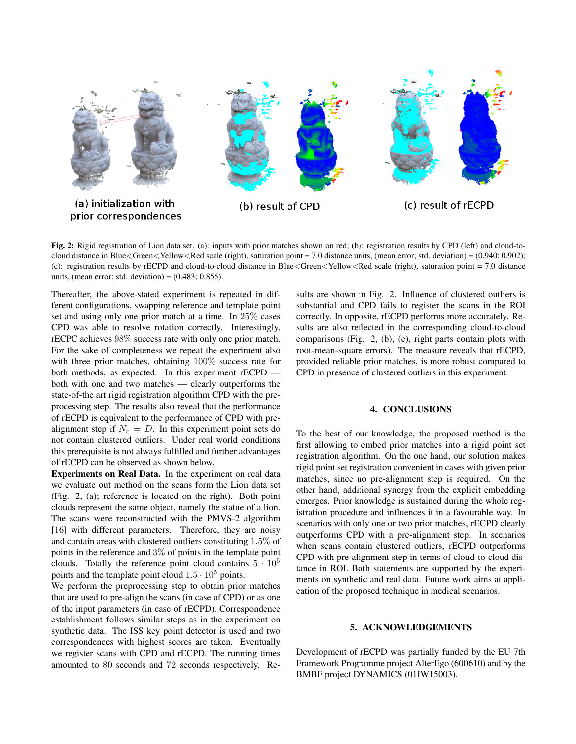

Fig. 2: Rigid registration of Lion data set. (a): inputs with prior matches shown on red; (b): registration results by CPD (left) and cloud-tocloud distance in Blue<Green<Yellow<Red scale (right), saturation point  $= 7.0$  distance units, (mean error; std. deviation) = (0.940; 0.902); (c): registration results by rECPD and cloud-to-cloud distance in Blue<Green<Yellow<Red scale (right), saturation point = 7.0 distance units, (mean error; std. deviation) =  $(0.483; 0.855)$ .

Thereafter, the above-stated experiment is repeated in different configurations, swapping reference and template point set and using only one prior match at a time. In 25% cases CPD was able to resolve rotation correctly. Interestingly, rECPC achieves 98% success rate with only one prior match. For the sake of completeness we repeat the experiment also with three prior matches, obtaining 100% success rate for both methods, as expected. In this experiment rECPD both with one and two matches — clearly outperforms the state-of-the art rigid registration algorithm CPD with the preprocessing step. The results also reveal that the performance of rECPD is equivalent to the performance of CPD with prealignment step if  $N_c = D$ . In this experiment point sets do not contain clustered outliers. Under real world conditions this prerequisite is not always fulfilled and further advantages of rECPD can be observed as shown below.

Experiments on Real Data. In the experiment on real data we evaluate out method on the scans form the Lion data set (Fig. 2, (a); reference is located on the right). Both point clouds represent the same object, namely the statue of a lion. The scans were reconstructed with the PMVS-2 algorithm [16] with different parameters. Therefore, they are noisy and contain areas with clustered outliers constituting 1.5% of points in the reference and 3% of points in the template point clouds. Totally the reference point cloud contains  $5 \cdot 10^5$ points and the template point cloud  $1.5 \cdot 10^5$  points.

We perform the preprocessing step to obtain prior matches that are used to pre-align the scans (in case of CPD) or as one of the input parameters (in case of rECPD). Correspondence establishment follows similar steps as in the experiment on synthetic data. The ISS key point detector is used and two correspondences with highest scores are taken. Eventually we register scans with CPD and rECPD. The running times amounted to 80 seconds and 72 seconds respectively. Results are shown in Fig. 2. Influence of clustered outliers is substantial and CPD fails to register the scans in the ROI correctly. In opposite, rECPD performs more accurately. Results are also reflected in the corresponding cloud-to-cloud comparisons (Fig. 2, (b), (c), right parts contain plots with root-mean-square errors). The measure reveals that rECPD, provided reliable prior matches, is more robust compared to CPD in presence of clustered outliers in this experiment.

## 4. CONCLUSIONS

To the best of our knowledge, the proposed method is the first allowing to embed prior matches into a rigid point set registration algorithm. On the one hand, our solution makes rigid point set registration convenient in cases with given prior matches, since no pre-alignment step is required. On the other hand, additional synergy from the explicit embedding emerges. Prior knowledge is sustained during the whole registration procedure and influences it in a favourable way. In scenarios with only one or two prior matches, rECPD clearly outperforms CPD with a pre-alignment step. In scenarios when scans contain clustered outliers, rECPD outperforms CPD with pre-alignment step in terms of cloud-to-cloud distance in ROI. Both statements are supported by the experiments on synthetic and real data. Future work aims at application of the proposed technique in medical scenarios.

#### 5. ACKNOWLEDGEMENTS

Development of rECPD was partially funded by the EU 7th Framework Programme project AlterEgo (600610) and by the BMBF project DYNAMICS (01IW15003).